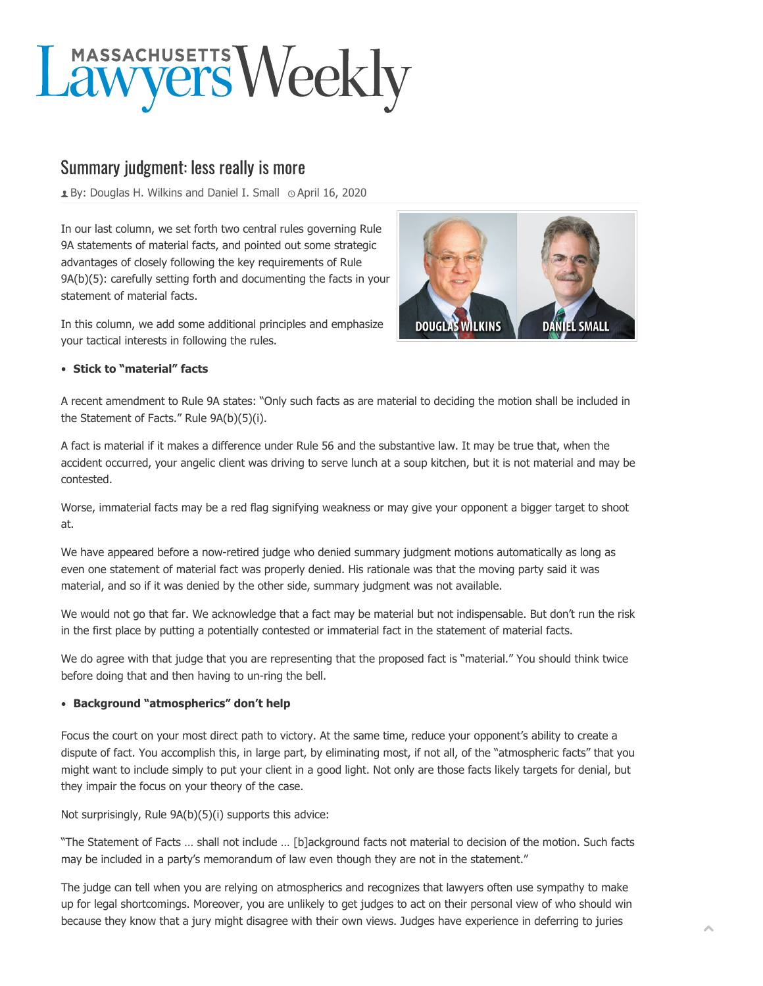# Lawyers Weekly

# Summary judgment: less really is more

**E** By: [Douglas H. Wilkins and Daniel I. Small](https://masslawyersweekly.com/author/wilkinssmall/)  $\circ$  April 16, 2020

In our last column, we set forth two central rules governing Rule 9A statements of material facts, and pointed out some strategic advantages of closely following the key requirements of Rule 9A(b)(5): carefully setting forth and documenting the facts in your statement of material facts.

In this column, we add some additional principles and emphasize your tactical interests in following the rules.



# **Stick to "material" facts**

A recent amendment to Rule 9A states: "Only such facts as are material to deciding the motion shall be included in the Statement of Facts." Rule 9A(b)(5)(i).

A fact is material if it makes a difference under Rule 56 and the substantive law. It may be true that, when the accident occurred, your angelic client was driving to serve lunch at a soup kitchen, but it is not material and may be contested.

Worse, immaterial facts may be a red flag signifying weakness or may give your opponent a bigger target to shoot at.

We have appeared before a now-retired judge who denied summary judgment motions automatically as long as even one statement of material fact was properly denied. His rationale was that the moving party said it was material, and so if it was denied by the other side, summary judgment was not available.

We would not go that far. We acknowledge that a fact may be material but not indispensable. But don't run the risk in the first place by putting a potentially contested or immaterial fact in the statement of material facts.

We do agree with that judge that you are representing that the proposed fact is "material." You should think twice before doing that and then having to un-ring the bell.

## **Background "atmospherics" don't help**

Focus the court on your most direct path to victory. At the same time, reduce your opponent's ability to create a dispute of fact. You accomplish this, in large part, by eliminating most, if not all, of the "atmospheric facts" that you might want to include simply to put your client in a good light. Not only are those facts likely targets for denial, but they impair the focus on your theory of the case.

Not surprisingly, Rule 9A(b)(5)(i) supports this advice:

"The Statement of Facts … shall not include … [b]ackground facts not material to decision of the motion. Such facts may be included in a party's memorandum of law even though they are not in the statement."

The judge can tell when you are relying on atmospherics and recognizes that lawyers often use sympathy to make up for legal shortcomings. Moreover, you are unlikely to get judges to act on their personal view of who should win because they know that a jury might disagree with their own views. Judges have experience in deferring to juries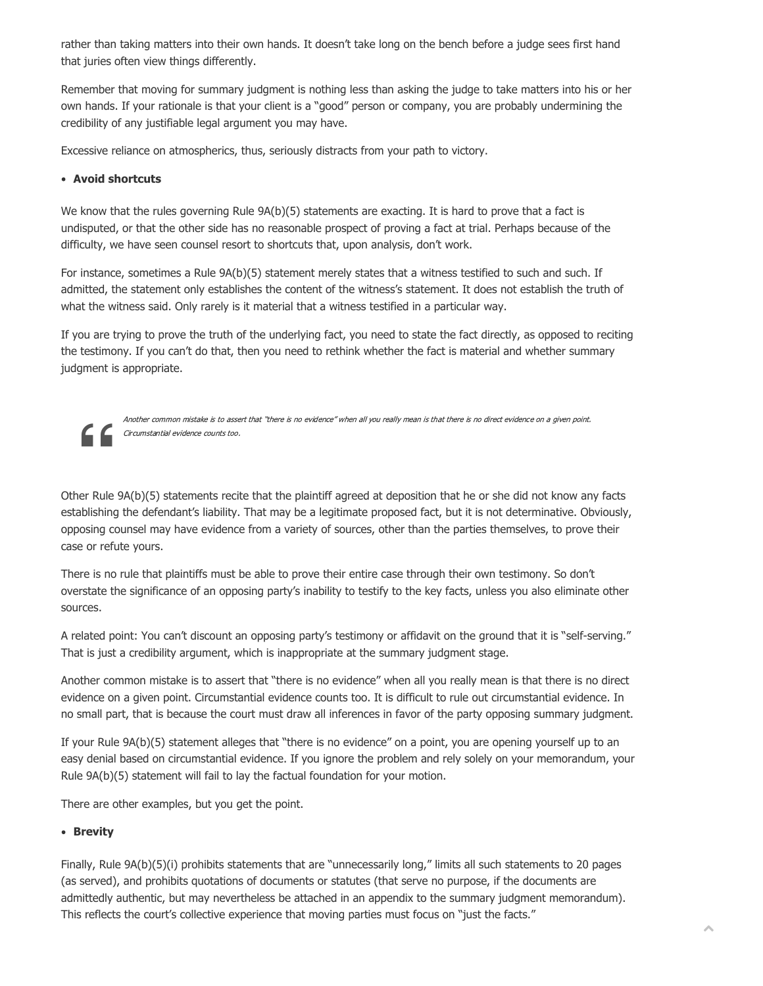rather than taking matters into their own hands. It doesn't take long on the bench before a judge sees first hand that juries often view things differently.

Remember that moving for summary judgment is nothing less than asking the judge to take matters into his or her own hands. If your rationale is that your client is a "good" person or company, you are probably undermining the credibility of any justifiable legal argument you may have.

Excessive reliance on atmospherics, thus, seriously distracts from your path to victory.

#### **Avoid shortcuts**

We know that the rules governing Rule 9A(b)(5) statements are exacting. It is hard to prove that a fact is undisputed, or that the other side has no reasonable prospect of proving a fact at trial. Perhaps because of the difficulty, we have seen counsel resort to shortcuts that, upon analysis, don't work.

For instance, sometimes a Rule 9A(b)(5) statement merely states that a witness testified to such and such. If admitted, the statement only establishes the content of the witness's statement. It does not establish the truth of what the witness said. Only rarely is it material that a witness testified in a particular way.

If you are trying to prove the truth of the underlying fact, you need to state the fact directly, as opposed to reciting the testimony. If you can't do that, then you need to rethink whether the fact is material and whether summary judgment is appropriate.



Another common mistake is to assert that "there is no evidence" when all you really mean is that there is no direct evidence on a given point. Circumstantial evidence counts too.

Other Rule 9A(b)(5) statements recite that the plaintiff agreed at deposition that he or she did not know any facts establishing the defendant's liability. That may be a legitimate proposed fact, but it is not determinative. Obviously, opposing counsel may have evidence from a variety of sources, other than the parties themselves, to prove their case or refute yours.

There is no rule that plaintiffs must be able to prove their entire case through their own testimony. So don't overstate the significance of an opposing party's inability to testify to the key facts, unless you also eliminate other sources.

A related point: You can't discount an opposing party's testimony or affidavit on the ground that it is "self-serving." That is just a credibility argument, which is inappropriate at the summary judgment stage.

Another common mistake is to assert that "there is no evidence" when all you really mean is that there is no direct evidence on a given point. Circumstantial evidence counts too. It is difficult to rule out circumstantial evidence. In no small part, that is because the court must draw all inferences in favor of the party opposing summary judgment.

If your Rule 9A(b)(5) statement alleges that "there is no evidence" on a point, you are opening yourself up to an easy denial based on circumstantial evidence. If you ignore the problem and rely solely on your memorandum, your Rule 9A(b)(5) statement will fail to lay the factual foundation for your motion.

There are other examples, but you get the point.

## **Brevity**

Finally, Rule 9A(b)(5)(i) prohibits statements that are "unnecessarily long," limits all such statements to 20 pages (as served), and prohibits quotations of documents or statutes (that serve no purpose, if the documents are admittedly authentic, but may nevertheless be attached in an appendix to the summary judgment memorandum). This reflects the court's collective experience that moving parties must focus on "just the facts."